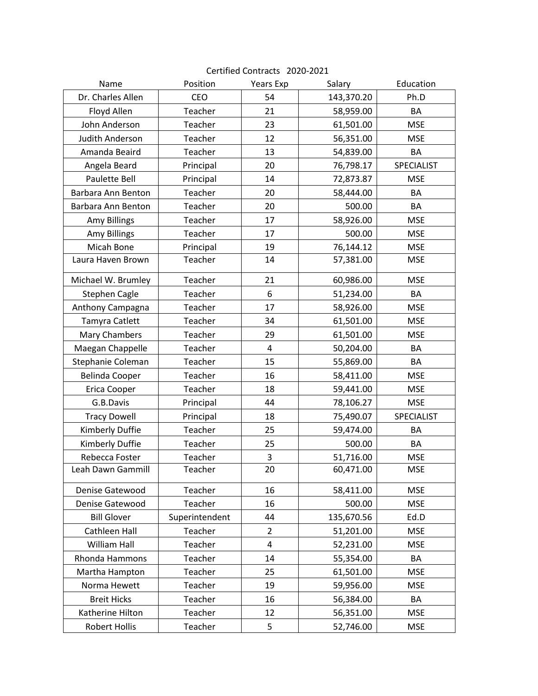| Name                  | Position       | Years Exp      | Salary     | Education  |
|-----------------------|----------------|----------------|------------|------------|
| Dr. Charles Allen     | CEO            | 54             | 143,370.20 | Ph.D       |
| Floyd Allen           | Teacher        | 21             | 58,959.00  | BA         |
| John Anderson         | Teacher        | 23             | 61,501.00  | <b>MSE</b> |
| Judith Anderson       | Teacher        | 12             | 56,351.00  | <b>MSE</b> |
| Amanda Beaird         | Teacher        | 13             | 54,839.00  | BA         |
| Angela Beard          | Principal      | 20             | 76,798.17  | SPECIALIST |
| <b>Paulette Bell</b>  | Principal      | 14             | 72,873.87  | <b>MSE</b> |
| Barbara Ann Benton    | Teacher        | 20             | 58,444.00  | BA         |
| Barbara Ann Benton    | Teacher        | 20             | 500.00     | BA         |
| <b>Amy Billings</b>   | Teacher        | 17             | 58,926.00  | <b>MSE</b> |
| <b>Amy Billings</b>   | Teacher        | 17             | 500.00     | <b>MSE</b> |
| Micah Bone            | Principal      | 19             | 76,144.12  | <b>MSE</b> |
| Laura Haven Brown     | Teacher        | 14             | 57,381.00  | <b>MSE</b> |
| Michael W. Brumley    | Teacher        | 21             | 60,986.00  | <b>MSE</b> |
| <b>Stephen Cagle</b>  | Teacher        | 6              | 51,234.00  | BA         |
| Anthony Campagna      | Teacher        | 17             | 58,926.00  | <b>MSE</b> |
| Tamyra Catlett        | Teacher        | 34             | 61,501.00  | <b>MSE</b> |
| Mary Chambers         | Teacher        | 29             | 61,501.00  | <b>MSE</b> |
| Maegan Chappelle      | Teacher        | $\overline{4}$ | 50,204.00  | BA         |
| Stephanie Coleman     | Teacher        | 15             | 55,869.00  | BA         |
| <b>Belinda Cooper</b> | Teacher        | 16             | 58,411.00  | <b>MSE</b> |
| Erica Cooper          | Teacher        | 18             | 59,441.00  | <b>MSE</b> |
| G.B.Davis             | Principal      | 44             | 78,106.27  | <b>MSE</b> |
| <b>Tracy Dowell</b>   | Principal      | 18             | 75,490.07  | SPECIALIST |
| Kimberly Duffie       | Teacher        | 25             | 59,474.00  | BA         |
| Kimberly Duffie       | Teacher        | 25             | 500.00     | BA         |
| Rebecca Foster        | Teacher        | 3              | 51,716.00  | <b>MSE</b> |
| Leah Dawn Gammill     | Teacher        | 20             | 60,471.00  | <b>MSE</b> |
| Denise Gatewood       | Teacher        | 16             | 58,411.00  | <b>MSE</b> |
| Denise Gatewood       | Teacher        | 16             | 500.00     | <b>MSE</b> |
| <b>Bill Glover</b>    | Superintendent | 44             | 135,670.56 | Ed.D       |
| Cathleen Hall         | Teacher        | 2              | 51,201.00  | <b>MSE</b> |
| William Hall          | Teacher        | 4              | 52,231.00  | <b>MSE</b> |
| <b>Rhonda Hammons</b> | Teacher        | 14             | 55,354.00  | BA         |
| Martha Hampton        | Teacher        | 25             | 61,501.00  | <b>MSE</b> |
| Norma Hewett          | Teacher        | 19             | 59,956.00  | <b>MSE</b> |
| <b>Breit Hicks</b>    | Teacher        | 16             | 56,384.00  | BA         |
| Katherine Hilton      | Teacher        | 12             | 56,351.00  | <b>MSE</b> |
| <b>Robert Hollis</b>  | Teacher        | 5              | 52,746.00  | <b>MSE</b> |

## Certified Contracts 2020-2021